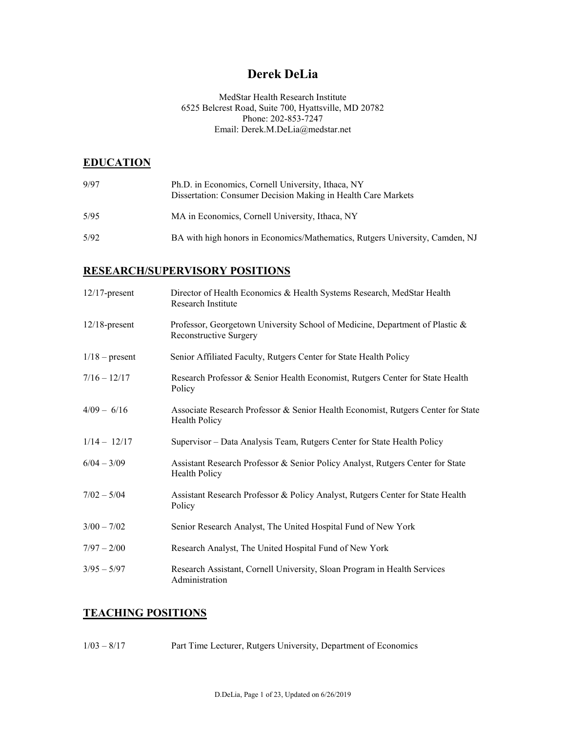# **Derek DeLia**

### MedStar Health Research Institute 6525 Belcrest Road, Suite 700, Hyattsville, MD 20782 Phone: 202-853-7247 Email: Derek.M.DeLia@medstar.net

## **EDUCATION**

| 9/97 | Ph.D. in Economics, Cornell University, Ithaca, NY<br>Dissertation: Consumer Decision Making in Health Care Markets |
|------|---------------------------------------------------------------------------------------------------------------------|
| 5/95 | MA in Economics, Cornell University, Ithaca, NY                                                                     |
| 5/92 | BA with high honors in Economics/Mathematics, Rutgers University, Camden, NJ                                        |

## **RESEARCH/SUPERVISORY POSITIONS**

| $12/17$ -present | Director of Health Economics & Health Systems Research, MedStar Health<br>Research Institute                  |
|------------------|---------------------------------------------------------------------------------------------------------------|
| $12/18$ -present | Professor, Georgetown University School of Medicine, Department of Plastic &<br><b>Reconstructive Surgery</b> |
| $1/18$ – present | Senior Affiliated Faculty, Rutgers Center for State Health Policy                                             |
| $7/16 - 12/17$   | Research Professor & Senior Health Economist, Rutgers Center for State Health<br>Policy                       |
| $4/09 - 6/16$    | Associate Research Professor & Senior Health Economist, Rutgers Center for State<br><b>Health Policy</b>      |
| $1/14 - 12/17$   | Supervisor – Data Analysis Team, Rutgers Center for State Health Policy                                       |
| $6/04 - 3/09$    | Assistant Research Professor & Senior Policy Analyst, Rutgers Center for State<br><b>Health Policy</b>        |
| $7/02 - 5/04$    | Assistant Research Professor & Policy Analyst, Rutgers Center for State Health<br>Policy                      |
| $3/00 - 7/02$    | Senior Research Analyst, The United Hospital Fund of New York                                                 |
| $7/97 - 2/00$    | Research Analyst, The United Hospital Fund of New York                                                        |
| $3/95 - 5/97$    | Research Assistant, Cornell University, Sloan Program in Health Services<br>Administration                    |

### **TEACHING POSITIONS**

1/03 – 8/17 Part Time Lecturer, Rutgers University, Department of Economics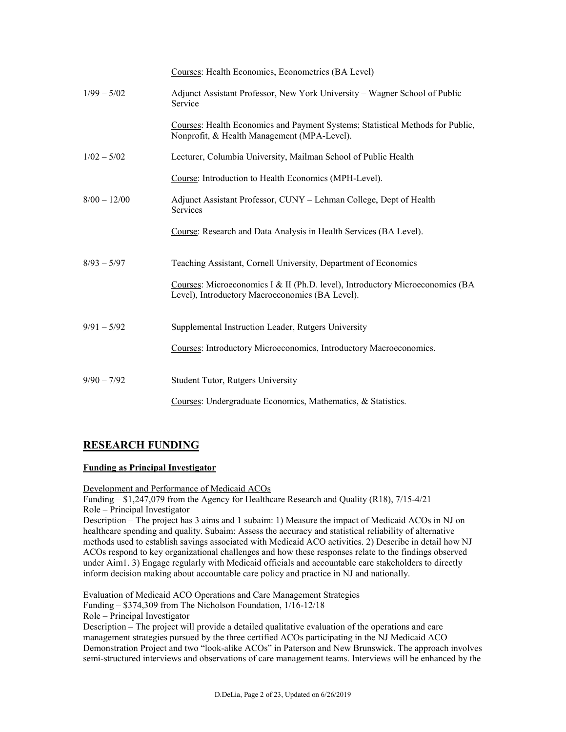|                | Courses: Health Economics, Econometrics (BA Level)                                                                               |
|----------------|----------------------------------------------------------------------------------------------------------------------------------|
| $1/99 - 5/02$  | Adjunct Assistant Professor, New York University – Wagner School of Public<br>Service                                            |
|                | Courses: Health Economics and Payment Systems; Statistical Methods for Public,<br>Nonprofit, & Health Management (MPA-Level).    |
| $1/02 - 5/02$  | Lecturer, Columbia University, Mailman School of Public Health                                                                   |
|                | Course: Introduction to Health Economics (MPH-Level).                                                                            |
| $8/00 - 12/00$ | Adjunct Assistant Professor, CUNY – Lehman College, Dept of Health<br><b>Services</b>                                            |
|                | Course: Research and Data Analysis in Health Services (BA Level).                                                                |
| $8/93 - 5/97$  | Teaching Assistant, Cornell University, Department of Economics                                                                  |
|                | Courses: Microeconomics I & II (Ph.D. level), Introductory Microeconomics (BA<br>Level), Introductory Macroeconomics (BA Level). |
| $9/91 - 5/92$  | Supplemental Instruction Leader, Rutgers University                                                                              |
|                | Courses: Introductory Microeconomics, Introductory Macroeconomics.                                                               |
| $9/90 - 7/92$  | <b>Student Tutor, Rutgers University</b>                                                                                         |
|                | Courses: Undergraduate Economics, Mathematics, & Statistics.                                                                     |

## **RESEARCH FUNDING**

### **Funding as Principal Investigator**

Development and Performance of Medicaid ACOs

Funding – \$1,247,079 from the Agency for Healthcare Research and Quality (R18), 7/15-4/21 Role – Principal Investigator

Description – The project has 3 aims and 1 subaim: 1) Measure the impact of Medicaid ACOs in NJ on healthcare spending and quality. Subaim: Assess the accuracy and statistical reliability of alternative methods used to establish savings associated with Medicaid ACO activities. 2) Describe in detail how NJ ACOs respond to key organizational challenges and how these responses relate to the findings observed under Aim1. 3) Engage regularly with Medicaid officials and accountable care stakeholders to directly inform decision making about accountable care policy and practice in NJ and nationally.

Evaluation of Medicaid ACO Operations and Care Management Strategies

Funding – \$374,309 from The Nicholson Foundation, 1/16-12/18

Role – Principal Investigator

Description – The project will provide a detailed qualitative evaluation of the operations and care management strategies pursued by the three certified ACOs participating in the NJ Medicaid ACO Demonstration Project and two "look-alike ACOs" in Paterson and New Brunswick. The approach involves semi-structured interviews and observations of care management teams. Interviews will be enhanced by the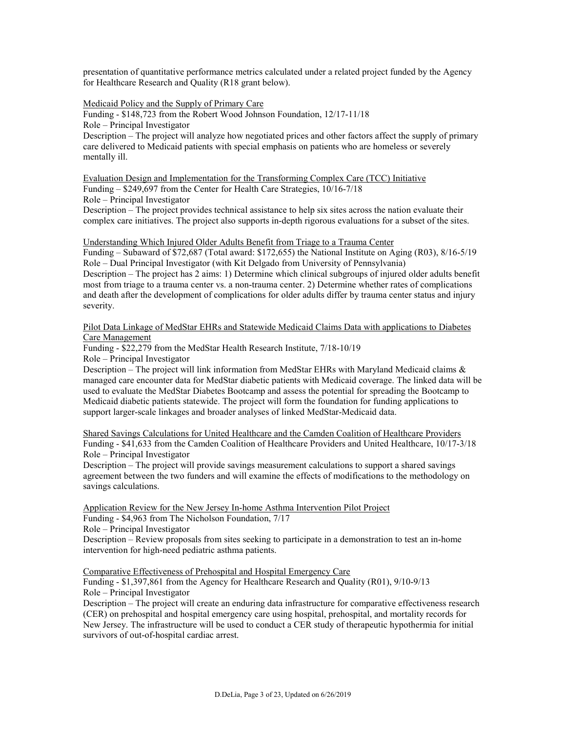presentation of quantitative performance metrics calculated under a related project funded by the Agency for Healthcare Research and Quality (R18 grant below).

Medicaid Policy and the Supply of Primary Care

Funding - \$148,723 from the Robert Wood Johnson Foundation, 12/17-11/18

Role – Principal Investigator

Description – The project will analyze how negotiated prices and other factors affect the supply of primary care delivered to Medicaid patients with special emphasis on patients who are homeless or severely mentally ill.

Evaluation Design and Implementation for the Transforming Complex Care (TCC) Initiative Funding – \$249,697 from the Center for Health Care Strategies, 10/16-7/18 Role – Principal Investigator

Description – The project provides technical assistance to help six sites across the nation evaluate their complex care initiatives. The project also supports in-depth rigorous evaluations for a subset of the sites.

Understanding Which Injured Older Adults Benefit from Triage to a Trauma Center

Funding – Subaward of \$72,687 (Total award: \$172,655) the National Institute on Aging (R03), 8/16-5/19 Role – Dual Principal Investigator (with Kit Delgado from University of Pennsylvania) Description – The project has 2 aims: 1) Determine which clinical subgroups of injured older adults benefit most from triage to a trauma center vs. a non-trauma center. 2) Determine whether rates of complications and death after the development of complications for older adults differ by trauma center status and injury severity.

Pilot Data Linkage of MedStar EHRs and Statewide Medicaid Claims Data with applications to Diabetes Care Management

Funding - \$22,279 from the MedStar Health Research Institute, 7/18-10/19

Role – Principal Investigator

Description – The project will link information from MedStar EHRs with Maryland Medicaid claims  $\&$ managed care encounter data for MedStar diabetic patients with Medicaid coverage. The linked data will be used to evaluate the MedStar Diabetes Bootcamp and assess the potential for spreading the Bootcamp to Medicaid diabetic patients statewide. The project will form the foundation for funding applications to support larger-scale linkages and broader analyses of linked MedStar-Medicaid data.

Shared Savings Calculations for United Healthcare and the Camden Coalition of Healthcare Providers Funding - \$41,633 from the Camden Coalition of Healthcare Providers and United Healthcare, 10/17-3/18 Role – Principal Investigator

Description – The project will provide savings measurement calculations to support a shared savings agreement between the two funders and will examine the effects of modifications to the methodology on savings calculations.

Application Review for the New Jersey In-home Asthma Intervention Pilot Project Funding - \$4,963 from The Nicholson Foundation, 7/17 Role – Principal Investigator

Description – Review proposals from sites seeking to participate in a demonstration to test an in-home intervention for high-need pediatric asthma patients.

Comparative Effectiveness of Prehospital and Hospital Emergency Care

Funding - \$1,397,861 from the Agency for Healthcare Research and Quality (R01), 9/10-9/13 Role – Principal Investigator

Description – The project will create an enduring data infrastructure for comparative effectiveness research (CER) on prehospital and hospital emergency care using hospital, prehospital, and mortality records for New Jersey. The infrastructure will be used to conduct a CER study of therapeutic hypothermia for initial survivors of out-of-hospital cardiac arrest.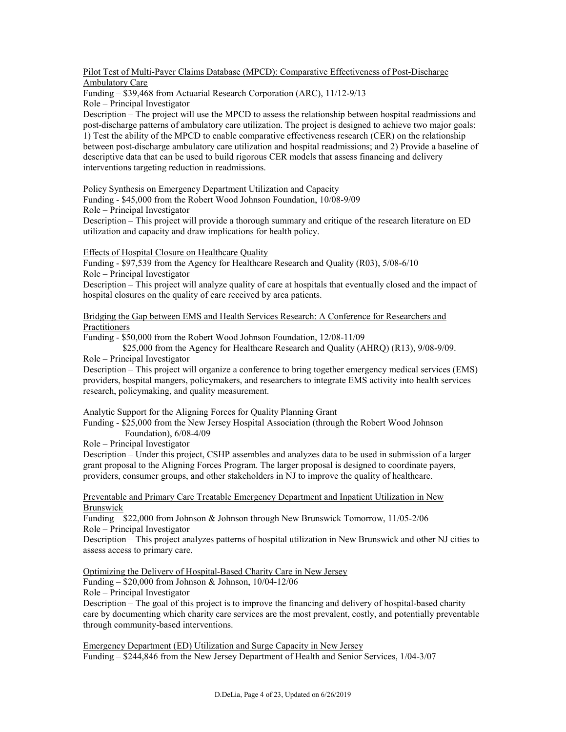#### Pilot Test of Multi-Payer Claims Database (MPCD): Comparative Effectiveness of Post-Discharge Ambulatory Care

Funding – \$39,468 from Actuarial Research Corporation (ARC), 11/12-9/13 Role – Principal Investigator

Description – The project will use the MPCD to assess the relationship between hospital readmissions and post-discharge patterns of ambulatory care utilization. The project is designed to achieve two major goals: 1) Test the ability of the MPCD to enable comparative effectiveness research (CER) on the relationship between post-discharge ambulatory care utilization and hospital readmissions; and 2) Provide a baseline of descriptive data that can be used to build rigorous CER models that assess financing and delivery interventions targeting reduction in readmissions.

Policy Synthesis on Emergency Department Utilization and Capacity

Funding - \$45,000 from the Robert Wood Johnson Foundation, 10/08-9/09

Role – Principal Investigator

Description – This project will provide a thorough summary and critique of the research literature on ED utilization and capacity and draw implications for health policy.

Effects of Hospital Closure on Healthcare Quality

Funding - \$97,539 from the Agency for Healthcare Research and Quality (R03), 5/08-6/10 Role – Principal Investigator

Description – This project will analyze quality of care at hospitals that eventually closed and the impact of hospital closures on the quality of care received by area patients.

Bridging the Gap between EMS and Health Services Research: A Conference for Researchers and **Practitioners** 

Funding - \$50,000 from the Robert Wood Johnson Foundation, 12/08-11/09

\$25,000 from the Agency for Healthcare Research and Quality (AHRQ) (R13), 9/08-9/09. Role – Principal Investigator

Description – This project will organize a conference to bring together emergency medical services (EMS) providers, hospital mangers, policymakers, and researchers to integrate EMS activity into health services research, policymaking, and quality measurement.

Analytic Support for the Aligning Forces for Quality Planning Grant

Funding - \$25,000 from the New Jersey Hospital Association (through the Robert Wood Johnson Foundation), 6/08-4/09

Role – Principal Investigator

Description – Under this project, CSHP assembles and analyzes data to be used in submission of a larger grant proposal to the Aligning Forces Program. The larger proposal is designed to coordinate payers, providers, consumer groups, and other stakeholders in NJ to improve the quality of healthcare.

Preventable and Primary Care Treatable Emergency Department and Inpatient Utilization in New Brunswick

Funding – \$22,000 from Johnson & Johnson through New Brunswick Tomorrow, 11/05-2/06 Role – Principal Investigator

Description – This project analyzes patterns of hospital utilization in New Brunswick and other NJ cities to assess access to primary care.

Optimizing the Delivery of Hospital-Based Charity Care in New Jersey

Funding – \$20,000 from Johnson & Johnson, 10/04-12/06

Role – Principal Investigator

Description – The goal of this project is to improve the financing and delivery of hospital-based charity care by documenting which charity care services are the most prevalent, costly, and potentially preventable through community-based interventions.

Emergency Department (ED) Utilization and Surge Capacity in New Jersey Funding – \$244,846 from the New Jersey Department of Health and Senior Services, 1/04-3/07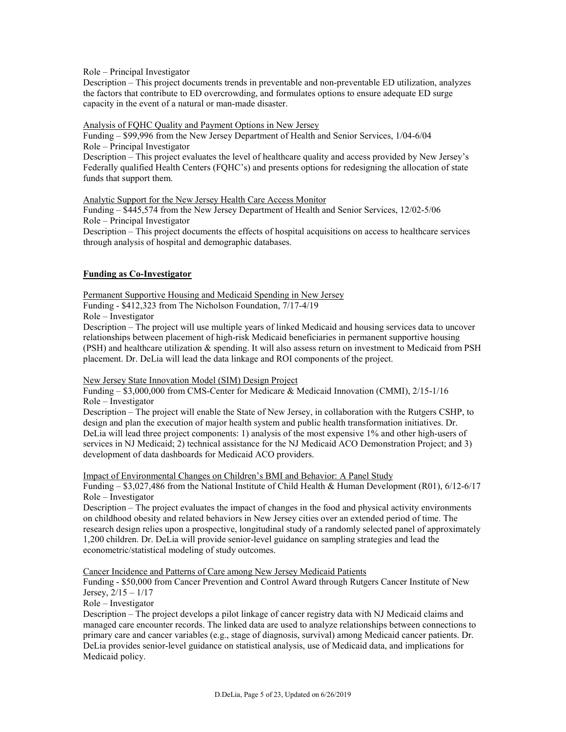Role – Principal Investigator

Description – This project documents trends in preventable and non-preventable ED utilization, analyzes the factors that contribute to ED overcrowding, and formulates options to ensure adequate ED surge capacity in the event of a natural or man-made disaster.

Analysis of FQHC Quality and Payment Options in New Jersey

Funding – \$99,996 from the New Jersey Department of Health and Senior Services, 1/04-6/04 Role – Principal Investigator

Description – This project evaluates the level of healthcare quality and access provided by New Jersey's Federally qualified Health Centers (FQHC's) and presents options for redesigning the allocation of state funds that support them.

Analytic Support for the New Jersey Health Care Access Monitor

Funding – \$445,574 from the New Jersey Department of Health and Senior Services, 12/02-5/06 Role – Principal Investigator

Description – This project documents the effects of hospital acquisitions on access to healthcare services through analysis of hospital and demographic databases.

### **Funding as Co-Investigator**

Permanent Supportive Housing and Medicaid Spending in New Jersey Funding - \$412,323 from The Nicholson Foundation, 7/17-4/19

Role – Investigator

Description – The project will use multiple years of linked Medicaid and housing services data to uncover relationships between placement of high-risk Medicaid beneficiaries in permanent supportive housing (PSH) and healthcare utilization & spending. It will also assess return on investment to Medicaid from PSH placement. Dr. DeLia will lead the data linkage and ROI components of the project.

New Jersey State Innovation Model (SIM) Design Project

Funding – \$3,000,000 from CMS-Center for Medicare & Medicaid Innovation (CMMI), 2/15-1/16 Role – Investigator

Description – The project will enable the State of New Jersey, in collaboration with the Rutgers CSHP, to design and plan the execution of major health system and public health transformation initiatives. Dr. DeLia will lead three project components: 1) analysis of the most expensive 1% and other high-users of services in NJ Medicaid; 2) technical assistance for the NJ Medicaid ACO Demonstration Project; and 3) development of data dashboards for Medicaid ACO providers.

Impact of Environmental Changes on Children's BMI and Behavior: A Panel Study

Funding – \$3,027,486 from the National Institute of Child Health & Human Development (R01), 6/12-6/17 Role – Investigator

Description – The project evaluates the impact of changes in the food and physical activity environments on childhood obesity and related behaviors in New Jersey cities over an extended period of time. The research design relies upon a prospective, longitudinal study of a randomly selected panel of approximately 1,200 children. Dr. DeLia will provide senior-level guidance on sampling strategies and lead the econometric/statistical modeling of study outcomes.

Cancer Incidence and Patterns of Care among New Jersey Medicaid Patients

Funding - \$50,000 from Cancer Prevention and Control Award through Rutgers Cancer Institute of New Jersey,  $2/15 - 1/17$ 

Role – Investigator

Description – The project develops a pilot linkage of cancer registry data with NJ Medicaid claims and managed care encounter records. The linked data are used to analyze relationships between connections to primary care and cancer variables (e.g., stage of diagnosis, survival) among Medicaid cancer patients. Dr. DeLia provides senior-level guidance on statistical analysis, use of Medicaid data, and implications for Medicaid policy.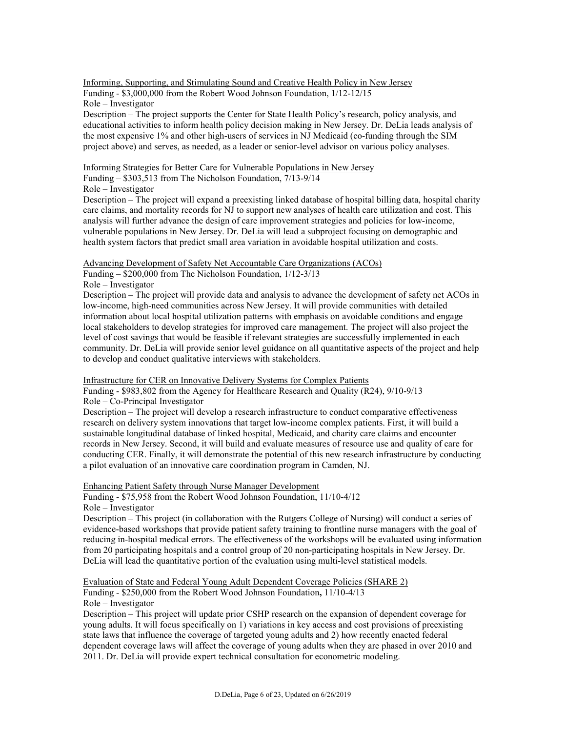Informing, Supporting, and Stimulating Sound and Creative Health Policy in New Jersey Funding - \$3,000,000 from the Robert Wood Johnson Foundation, 1/12-12/15 Role – Investigator

Description – The project supports the Center for State Health Policy's research, policy analysis, and educational activities to inform health policy decision making in New Jersey. Dr. DeLia leads analysis of the most expensive 1% and other high-users of services in NJ Medicaid (co-funding through the SIM project above) and serves, as needed, as a leader or senior-level advisor on various policy analyses.

#### Informing Strategies for Better Care for Vulnerable Populations in New Jersey

Funding – \$303,513 from The Nicholson Foundation, 7/13-9/14

Role – Investigator

Description – The project will expand a preexisting linked database of hospital billing data, hospital charity care claims, and mortality records for NJ to support new analyses of health care utilization and cost. This analysis will further advance the design of care improvement strategies and policies for low-income, vulnerable populations in New Jersey. Dr. DeLia will lead a subproject focusing on demographic and health system factors that predict small area variation in avoidable hospital utilization and costs.

Advancing Development of Safety Net Accountable Care Organizations (ACOs)

Funding – \$200,000 from The Nicholson Foundation, 1/12-3/13

Role – Investigator

Description – The project will provide data and analysis to advance the development of safety net ACOs in low-income, high-need communities across New Jersey. It will provide communities with detailed information about local hospital utilization patterns with emphasis on avoidable conditions and engage local stakeholders to develop strategies for improved care management. The project will also project the level of cost savings that would be feasible if relevant strategies are successfully implemented in each community. Dr. DeLia will provide senior level guidance on all quantitative aspects of the project and help to develop and conduct qualitative interviews with stakeholders.

Infrastructure for CER on Innovative Delivery Systems for Complex Patients

Funding - \$983,802 from the Agency for Healthcare Research and Quality (R24), 9/10-9/13 Role – Co-Principal Investigator

Description – The project will develop a research infrastructure to conduct comparative effectiveness research on delivery system innovations that target low-income complex patients. First, it will build a sustainable longitudinal database of linked hospital, Medicaid, and charity care claims and encounter records in New Jersey. Second, it will build and evaluate measures of resource use and quality of care for conducting CER. Finally, it will demonstrate the potential of this new research infrastructure by conducting a pilot evaluation of an innovative care coordination program in Camden, NJ.

Enhancing Patient Safety through Nurse Manager Development

Funding - \$75,958 from the Robert Wood Johnson Foundation, 11/10-4/12 Role – Investigator

Description **–** This project (in collaboration with the Rutgers College of Nursing) will conduct a series of evidence-based workshops that provide patient safety training to frontline nurse managers with the goal of reducing in-hospital medical errors. The effectiveness of the workshops will be evaluated using information from 20 participating hospitals and a control group of 20 non-participating hospitals in New Jersey. Dr. DeLia will lead the quantitative portion of the evaluation using multi-level statistical models.

Evaluation of State and Federal Young Adult Dependent Coverage Policies (SHARE 2) Funding - \$250,000 from the Robert Wood Johnson Foundation**,** 11/10-4/13 Role – Investigator

Description – This project will update prior CSHP research on the expansion of dependent coverage for young adults. It will focus specifically on 1) variations in key access and cost provisions of preexisting state laws that influence the coverage of targeted young adults and 2) how recently enacted federal dependent coverage laws will affect the coverage of young adults when they are phased in over 2010 and 2011. Dr. DeLia will provide expert technical consultation for econometric modeling.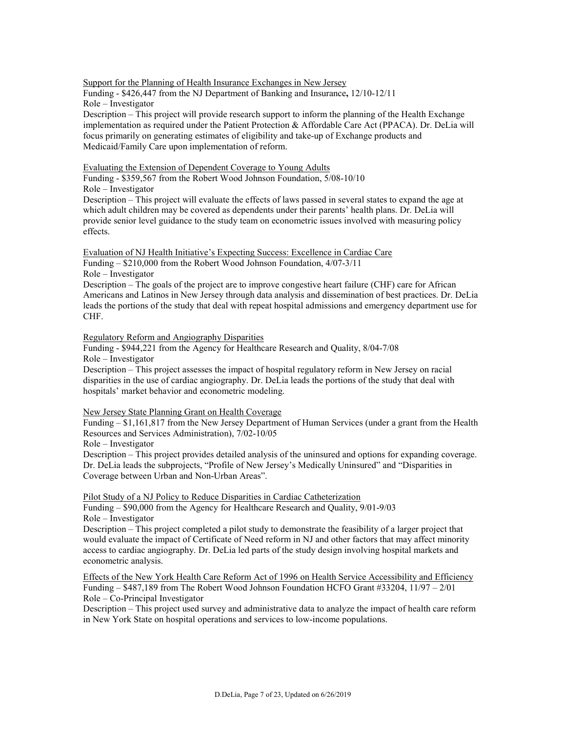Support for the Planning of Health Insurance Exchanges in New Jersey

Funding - \$426,447 from the NJ Department of Banking and Insurance**,** 12/10-12/11 Role – Investigator

Description – This project will provide research support to inform the planning of the Health Exchange implementation as required under the Patient Protection & Affordable Care Act (PPACA). Dr. DeLia will focus primarily on generating estimates of eligibility and take-up of Exchange products and Medicaid/Family Care upon implementation of reform.

Evaluating the Extension of Dependent Coverage to Young Adults

Funding - \$359,567 from the Robert Wood Johnson Foundation, 5/08-10/10

Role – Investigator

Description – This project will evaluate the effects of laws passed in several states to expand the age at which adult children may be covered as dependents under their parents' health plans. Dr. DeLia will provide senior level guidance to the study team on econometric issues involved with measuring policy effects.

Evaluation of NJ Health Initiative's Expecting Success: Excellence in Cardiac Care Funding – \$210,000 from the Robert Wood Johnson Foundation, 4/07-3/11

Role – Investigator

Description – The goals of the project are to improve congestive heart failure (CHF) care for African Americans and Latinos in New Jersey through data analysis and dissemination of best practices. Dr. DeLia leads the portions of the study that deal with repeat hospital admissions and emergency department use for CHF.

Regulatory Reform and Angiography Disparities

Funding - \$944,221 from the Agency for Healthcare Research and Quality, 8/04-7/08 Role – Investigator

Description – This project assesses the impact of hospital regulatory reform in New Jersey on racial disparities in the use of cardiac angiography. Dr. DeLia leads the portions of the study that deal with hospitals' market behavior and econometric modeling.

#### New Jersey State Planning Grant on Health Coverage

Funding – \$1,161,817 from the New Jersey Department of Human Services (under a grant from the Health Resources and Services Administration), 7/02-10/05

Role – Investigator

Description – This project provides detailed analysis of the uninsured and options for expanding coverage. Dr. DeLia leads the subprojects, "Profile of New Jersey's Medically Uninsured" and "Disparities in Coverage between Urban and Non-Urban Areas".

Pilot Study of a NJ Policy to Reduce Disparities in Cardiac Catheterization

Funding – \$90,000 from the Agency for Healthcare Research and Quality, 9/01-9/03 Role – Investigator

Description – This project completed a pilot study to demonstrate the feasibility of a larger project that would evaluate the impact of Certificate of Need reform in NJ and other factors that may affect minority access to cardiac angiography. Dr. DeLia led parts of the study design involving hospital markets and econometric analysis.

Effects of the New York Health Care Reform Act of 1996 on Health Service Accessibility and Efficiency Funding  $-$  \$487,189 from The Robert Wood Johnson Foundation HCFO Grant #33204, 11/97 – 2/01 Role – Co-Principal Investigator

Description – This project used survey and administrative data to analyze the impact of health care reform in New York State on hospital operations and services to low-income populations.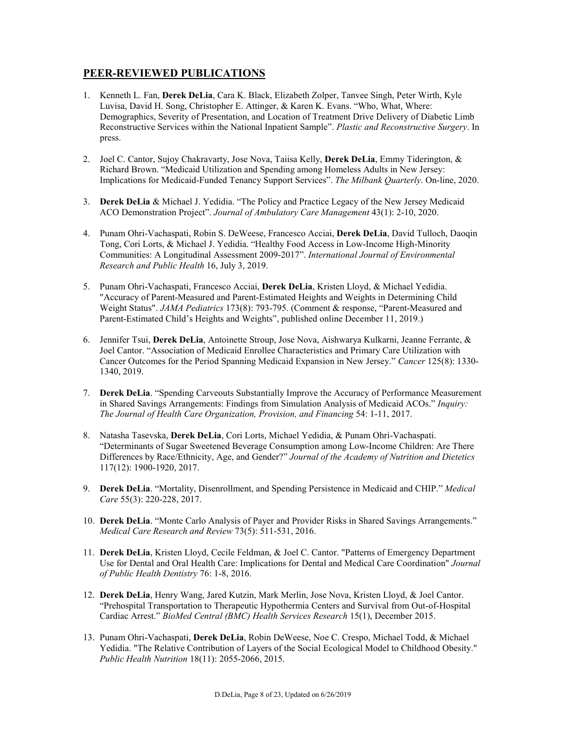### **PEER-REVIEWED PUBLICATIONS**

- 1. Kenneth L. Fan, **Derek DeLia**, Cara K. Black, Elizabeth Zolper, Tanvee Singh, Peter Wirth, Kyle Luvisa, David H. Song, Christopher E. Attinger, & Karen K. Evans. "Who, What, Where: Demographics, Severity of Presentation, and Location of Treatment Drive Delivery of Diabetic Limb Reconstructive Services within the National Inpatient Sample". *Plastic and Reconstructive Surgery*. In press.
- 2. Joel C. Cantor, Sujoy Chakravarty, Jose Nova, Taiisa Kelly, **Derek DeLia**, Emmy Tiderington, & Richard Brown. "Medicaid Utilization and Spending among Homeless Adults in New Jersey: Implications for Medicaid-Funded Tenancy Support Services". *The Milbank Quarterly*. On-line, 2020.
- 3. **Derek DeLia** & Michael J. Yedidia. "The Policy and Practice Legacy of the New Jersey Medicaid ACO Demonstration Project". *Journal of Ambulatory Care Management* 43(1): 2-10, 2020.
- 4. Punam Ohri-Vachaspati, Robin S. DeWeese, Francesco Acciai, **Derek DeLia**, David Tulloch, Daoqin Tong, Cori Lorts, & Michael J. Yedidia. "Healthy Food Access in Low-Income High-Minority Communities: A Longitudinal Assessment 2009-2017". *International Journal of Environmental Research and Public Health* 16, July 3, 2019.
- 5. Punam Ohri-Vachaspati, Francesco Acciai, **Derek DeLia**, Kristen Lloyd, & Michael Yedidia. "Accuracy of Parent-Measured and Parent-Estimated Heights and Weights in Determining Child Weight Status". *JAMA Pediatrics* 173(8): 793-795. (Comment & response, "Parent-Measured and Parent-Estimated Child's Heights and Weights", published online December 11, 2019.)
- 6. Jennifer Tsui, **Derek DeLia**, Antoinette Stroup, Jose Nova, Aishwarya Kulkarni, Jeanne Ferrante, & Joel Cantor. "Association of Medicaid Enrollee Characteristics and Primary Care Utilization with Cancer Outcomes for the Period Spanning Medicaid Expansion in New Jersey." *Cancer* 125(8): 1330- 1340, 2019.
- 7. **Derek DeLia**. "Spending Carveouts Substantially Improve the Accuracy of Performance Measurement in Shared Savings Arrangements: Findings from Simulation Analysis of Medicaid ACOs." *Inquiry: The Journal of Health Care Organization, Provision, and Financing* 54: 1-11, 2017.
- 8. Natasha Tasevska, **Derek DeLia**, Cori Lorts, Michael Yedidia, & Punam Ohri-Vachaspati. "Determinants of Sugar Sweetened Beverage Consumption among Low-Income Children: Are There Differences by Race/Ethnicity, Age, and Gender?" *Journal of the Academy of Nutrition and Dietetics* 117(12): 1900-1920, 2017.
- 9. **Derek DeLia**. "Mortality, Disenrollment, and Spending Persistence in Medicaid and CHIP." *Medical Care* 55(3): 220-228, 2017.
- 10. **Derek DeLia**. "Monte Carlo Analysis of Payer and Provider Risks in Shared Savings Arrangements." *Medical Care Research and Review* 73(5): 511-531, 2016.
- 11. **Derek DeLia**, Kristen Lloyd, Cecile Feldman, & Joel C. Cantor. "Patterns of Emergency Department Use for Dental and Oral Health Care: Implications for Dental and Medical Care Coordination" *Journal of Public Health Dentistry* 76: 1-8, 2016.
- 12. **Derek DeLia**, Henry Wang, Jared Kutzin, Mark Merlin, Jose Nova, Kristen Lloyd, & Joel Cantor. "Prehospital Transportation to Therapeutic Hypothermia Centers and Survival from Out-of-Hospital Cardiac Arrest." *BioMed Central (BMC) Health Services Research* 15(1), December 2015.
- 13. Punam Ohri-Vachaspati, **Derek DeLia**, Robin DeWeese, Noe C. Crespo, Michael Todd, & Michael Yedidia. "The Relative Contribution of Layers of the Social Ecological Model to Childhood Obesity." *Public Health Nutrition* 18(11): 2055-2066, 2015.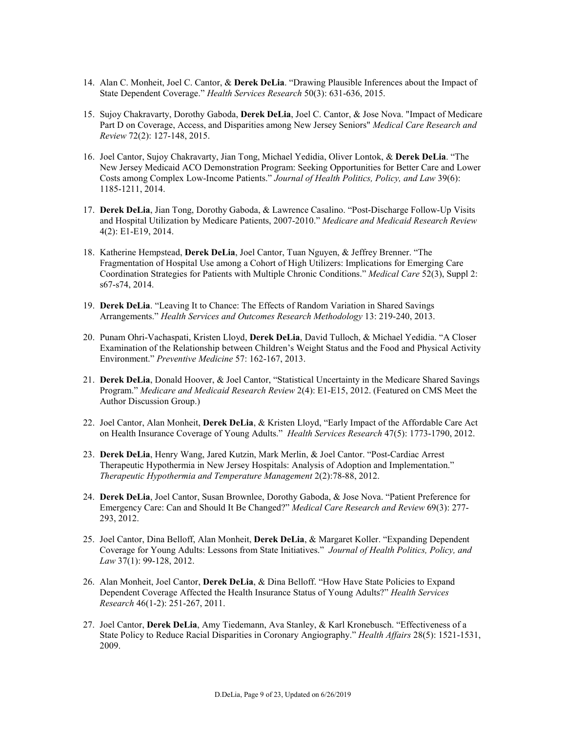- 14. Alan C. Monheit, Joel C. Cantor, & **Derek DeLia**. "Drawing Plausible Inferences about the Impact of State Dependent Coverage." *Health Services Research* 50(3): 631-636, 2015.
- 15. Sujoy Chakravarty, Dorothy Gaboda, **Derek DeLia**, Joel C. Cantor, & Jose Nova. "Impact of Medicare Part D on Coverage, Access, and Disparities among New Jersey Seniors" *Medical Care Research and Review* 72(2): 127-148, 2015.
- 16. Joel Cantor, Sujoy Chakravarty, Jian Tong, Michael Yedidia, Oliver Lontok, & **Derek DeLia**. "The New Jersey Medicaid ACO Demonstration Program: Seeking Opportunities for Better Care and Lower Costs among Complex Low-Income Patients." *Journal of Health Politics, Policy, and Law* 39(6): 1185-1211, 2014.
- 17. **Derek DeLia**, Jian Tong, Dorothy Gaboda, & Lawrence Casalino. "Post-Discharge Follow-Up Visits and Hospital Utilization by Medicare Patients, 2007-2010." *Medicare and Medicaid Research Review* 4(2): E1-E19, 2014.
- 18. Katherine Hempstead, **Derek DeLia**, Joel Cantor, Tuan Nguyen, & Jeffrey Brenner. "The Fragmentation of Hospital Use among a Cohort of High Utilizers: Implications for Emerging Care Coordination Strategies for Patients with Multiple Chronic Conditions." *Medical Care* 52(3), Suppl 2: s67-s74, 2014.
- 19. **Derek DeLia**. "Leaving It to Chance: The Effects of Random Variation in Shared Savings Arrangements." *Health Services and Outcomes Research Methodology* 13: 219-240, 2013.
- 20. Punam Ohri-Vachaspati, Kristen Lloyd, **Derek DeLia**, David Tulloch, & Michael Yedidia. "A Closer Examination of the Relationship between Children's Weight Status and the Food and Physical Activity Environment." *Preventive Medicine* 57: 162-167, 2013.
- 21. **Derek DeLia**, Donald Hoover, & Joel Cantor, "Statistical Uncertainty in the Medicare Shared Savings Program." *Medicare and Medicaid Research Review* 2(4): E1-E15, 2012. (Featured on CMS Meet the Author Discussion Group.)
- 22. Joel Cantor, Alan Monheit, **Derek DeLia**, & Kristen Lloyd, "Early Impact of the Affordable Care Act on Health Insurance Coverage of Young Adults." *Health Services Research* 47(5): 1773-1790, 2012.
- 23. **Derek DeLia**, Henry Wang, Jared Kutzin, Mark Merlin, & Joel Cantor. "Post-Cardiac Arrest Therapeutic Hypothermia in New Jersey Hospitals: Analysis of Adoption and Implementation." *Therapeutic Hypothermia and Temperature Management* 2(2):78-88, 2012.
- 24. **Derek DeLia**, Joel Cantor, Susan Brownlee, Dorothy Gaboda, & Jose Nova. "Patient Preference for Emergency Care: Can and Should It Be Changed?" *Medical Care Research and Review* 69(3): 277- 293, 2012.
- 25. Joel Cantor, Dina Belloff, Alan Monheit, **Derek DeLia**, & Margaret Koller. "Expanding Dependent Coverage for Young Adults: Lessons from State Initiatives." *Journal of Health Politics, Policy, and Law* 37(1): 99-128, 2012.
- 26. Alan Monheit, Joel Cantor, **Derek DeLia**, & Dina Belloff. "How Have State Policies to Expand Dependent Coverage Affected the Health Insurance Status of Young Adults?" *Health Services Research* 46(1-2): 251-267, 2011.
- 27. Joel Cantor, **Derek DeLia**, Amy Tiedemann, Ava Stanley, & Karl Kronebusch. "Effectiveness of a State Policy to Reduce Racial Disparities in Coronary Angiography." *Health Affairs* 28(5): 1521-1531, 2009.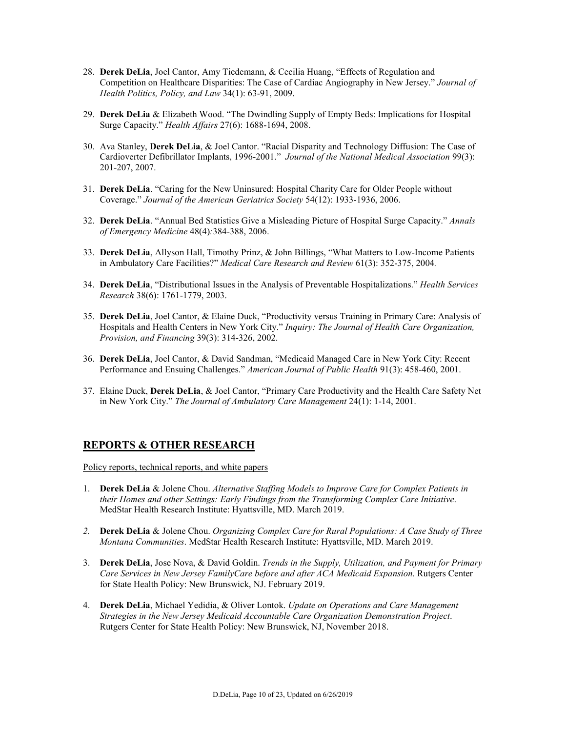- 28. **Derek DeLia**, Joel Cantor, Amy Tiedemann, & Cecilia Huang, "Effects of Regulation and Competition on Healthcare Disparities: The Case of Cardiac Angiography in New Jersey." *Journal of Health Politics, Policy, and Law* 34(1): 63-91, 2009.
- 29. **Derek DeLia** & Elizabeth Wood. "The Dwindling Supply of Empty Beds: Implications for Hospital Surge Capacity." *Health Affairs* 27(6): 1688-1694, 2008.
- 30. Ava Stanley, **Derek DeLia**, & Joel Cantor. "Racial Disparity and Technology Diffusion: The Case of Cardioverter Defibrillator Implants, 1996-2001." *Journal of the National Medical Association* 99(3): 201-207, 2007.
- 31. **Derek DeLia**. "Caring for the New Uninsured: Hospital Charity Care for Older People without Coverage." *Journal of the American Geriatrics Society* 54(12): 1933-1936, 2006.
- 32. **Derek DeLia**. "Annual Bed Statistics Give a Misleading Picture of Hospital Surge Capacity." *Annals of Emergency Medicine* 48(4)*:*384-388, 2006.
- 33. **Derek DeLia**, Allyson Hall, Timothy Prinz, & John Billings, "What Matters to Low-Income Patients in Ambulatory Care Facilities?" *Medical Care Research and Review* 61(3): 352-375, 2004*.*
- 34. **Derek DeLia**, "Distributional Issues in the Analysis of Preventable Hospitalizations." *Health Services Research* 38(6): 1761-1779, 2003.
- 35. **Derek DeLia**, Joel Cantor, & Elaine Duck, "Productivity versus Training in Primary Care: Analysis of Hospitals and Health Centers in New York City." *Inquiry: The Journal of Health Care Organization, Provision, and Financing* 39(3): 314-326, 2002.
- 36. **Derek DeLia**, Joel Cantor, & David Sandman, "Medicaid Managed Care in New York City: Recent Performance and Ensuing Challenges." *American Journal of Public Health* 91(3): 458-460, 2001.
- 37. Elaine Duck, **Derek DeLia**, & Joel Cantor, "Primary Care Productivity and the Health Care Safety Net in New York City." *The Journal of Ambulatory Care Management* 24(1): 1-14, 2001.

### **REPORTS & OTHER RESEARCH**

Policy reports, technical reports, and white papers

- 1. **Derek DeLia** & Jolene Chou. *Alternative Staffing Models to Improve Care for Complex Patients in their Homes and other Settings: Early Findings from the Transforming Complex Care Initiative*. MedStar Health Research Institute: Hyattsville, MD. March 2019.
- *2.* **Derek DeLia** & Jolene Chou. *Organizing Complex Care for Rural Populations: A Case Study of Three Montana Communities*. MedStar Health Research Institute: Hyattsville, MD. March 2019.
- 3. **Derek DeLia**, Jose Nova, & David Goldin. *Trends in the Supply, Utilization, and Payment for Primary Care Services in New Jersey FamilyCare before and after ACA Medicaid Expansion*. Rutgers Center for State Health Policy: New Brunswick, NJ. February 2019.
- 4. **Derek DeLia**, Michael Yedidia, & Oliver Lontok. *Update on Operations and Care Management Strategies in the New Jersey Medicaid Accountable Care Organization Demonstration Project*. Rutgers Center for State Health Policy: New Brunswick, NJ, November 2018.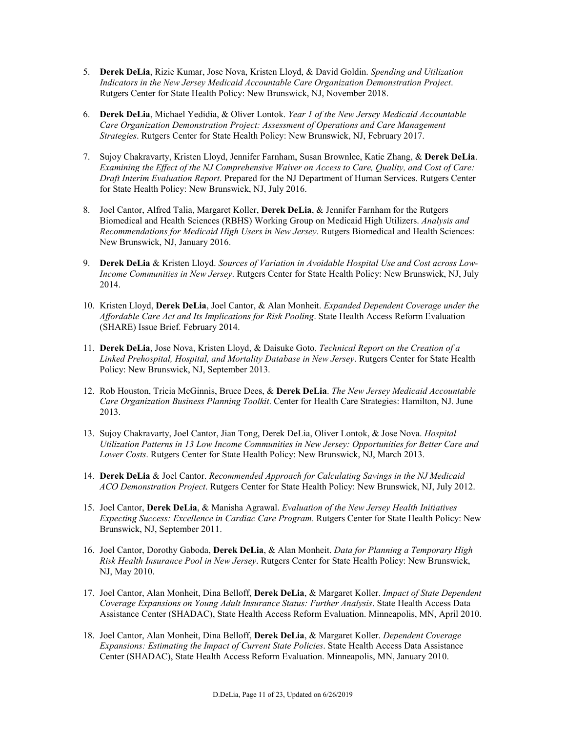- 5. **Derek DeLia**, Rizie Kumar, Jose Nova, Kristen Lloyd, & David Goldin. *Spending and Utilization Indicators in the New Jersey Medicaid Accountable Care Organization Demonstration Project*. Rutgers Center for State Health Policy: New Brunswick, NJ, November 2018.
- 6. **Derek DeLia**, Michael Yedidia, & Oliver Lontok. *Year 1 of the New Jersey Medicaid Accountable Care Organization Demonstration Project: Assessment of Operations and Care Management Strategies*. Rutgers Center for State Health Policy: New Brunswick, NJ, February 2017.
- 7. Sujoy Chakravarty, Kristen Lloyd, Jennifer Farnham, Susan Brownlee, Katie Zhang, & **Derek DeLia**. *Examining the Effect of the NJ Comprehensive Waiver on Access to Care, Quality, and Cost of Care: Draft Interim Evaluation Report*. Prepared for the NJ Department of Human Services. Rutgers Center for State Health Policy: New Brunswick, NJ, July 2016.
- 8. Joel Cantor, Alfred Talia, Margaret Koller, **Derek DeLia**, & Jennifer Farnham for the Rutgers Biomedical and Health Sciences (RBHS) Working Group on Medicaid High Utilizers. *Analysis and Recommendations for Medicaid High Users in New Jersey*. Rutgers Biomedical and Health Sciences: New Brunswick, NJ, January 2016.
- 9. **Derek DeLia** & Kristen Lloyd. *Sources of Variation in Avoidable Hospital Use and Cost across Low-Income Communities in New Jersey*. Rutgers Center for State Health Policy: New Brunswick, NJ, July 2014.
- 10. Kristen Lloyd, **Derek DeLia**, Joel Cantor, & Alan Monheit. *Expanded Dependent Coverage under the Affordable Care Act and Its Implications for Risk Pooling*. State Health Access Reform Evaluation (SHARE) Issue Brief. February 2014.
- 11. **Derek DeLia**, Jose Nova, Kristen Lloyd, & Daisuke Goto. *Technical Report on the Creation of a Linked Prehospital, Hospital, and Mortality Database in New Jersey*. Rutgers Center for State Health Policy: New Brunswick, NJ, September 2013.
- 12. Rob Houston, Tricia McGinnis, Bruce Dees, & **Derek DeLia**. *The New Jersey Medicaid Accountable Care Organization Business Planning Toolkit*. Center for Health Care Strategies: Hamilton, NJ. June 2013.
- 13. Sujoy Chakravarty, Joel Cantor, Jian Tong, Derek DeLia, Oliver Lontok, & Jose Nova. *Hospital Utilization Patterns in 13 Low Income Communities in New Jersey: Opportunities for Better Care and Lower Costs*. Rutgers Center for State Health Policy: New Brunswick, NJ, March 2013.
- 14. **Derek DeLia** & Joel Cantor. *Recommended Approach for Calculating Savings in the NJ Medicaid ACO Demonstration Project*. Rutgers Center for State Health Policy: New Brunswick, NJ, July 2012.
- 15. Joel Cantor, **Derek DeLia**, & Manisha Agrawal. *Evaluation of the New Jersey Health Initiatives Expecting Success: Excellence in Cardiac Care Program*. Rutgers Center for State Health Policy: New Brunswick, NJ, September 2011.
- 16. Joel Cantor, Dorothy Gaboda, **Derek DeLia**, & Alan Monheit. *Data for Planning a Temporary High Risk Health Insurance Pool in New Jersey*. Rutgers Center for State Health Policy: New Brunswick, NJ, May 2010.
- 17. Joel Cantor, Alan Monheit, Dina Belloff, **Derek DeLia**, & Margaret Koller. *Impact of State Dependent Coverage Expansions on Young Adult Insurance Status: Further Analysis*. State Health Access Data Assistance Center (SHADAC), State Health Access Reform Evaluation. Minneapolis, MN, April 2010.
- 18. Joel Cantor, Alan Monheit, Dina Belloff, **Derek DeLia**, & Margaret Koller. *Dependent Coverage Expansions: Estimating the Impact of Current State Policies*. State Health Access Data Assistance Center (SHADAC), State Health Access Reform Evaluation. Minneapolis, MN, January 2010.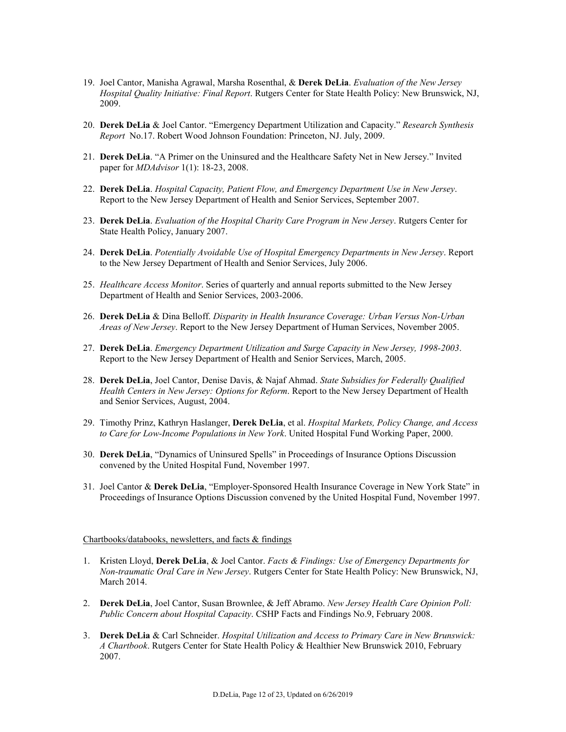- 19. Joel Cantor, Manisha Agrawal, Marsha Rosenthal, & **Derek DeLia**. *Evaluation of the New Jersey Hospital Quality Initiative: Final Report*. Rutgers Center for State Health Policy: New Brunswick, NJ, 2009.
- 20. **Derek DeLia** & Joel Cantor. "Emergency Department Utilization and Capacity." *Research Synthesis Report* No.17. Robert Wood Johnson Foundation: Princeton, NJ. July, 2009.
- 21. **Derek DeLia**. "A Primer on the Uninsured and the Healthcare Safety Net in New Jersey." Invited paper for *MDAdvisor* 1(1): 18-23, 2008.
- 22. **Derek DeLia**. *Hospital Capacity, Patient Flow, and Emergency Department Use in New Jersey*. Report to the New Jersey Department of Health and Senior Services, September 2007.
- 23. **Derek DeLia**. *Evaluation of the Hospital Charity Care Program in New Jersey*. Rutgers Center for State Health Policy, January 2007.
- 24. **Derek DeLia**. *Potentially Avoidable Use of Hospital Emergency Departments in New Jersey*. Report to the New Jersey Department of Health and Senior Services, July 2006.
- 25. *Healthcare Access Monitor*. Series of quarterly and annual reports submitted to the New Jersey Department of Health and Senior Services, 2003-2006.
- 26. **Derek DeLia** & Dina Belloff. *Disparity in Health Insurance Coverage: Urban Versus Non-Urban Areas of New Jersey*. Report to the New Jersey Department of Human Services, November 2005.
- 27. **Derek DeLia**. *Emergency Department Utilization and Surge Capacity in New Jersey, 1998-2003*. Report to the New Jersey Department of Health and Senior Services, March, 2005.
- 28. **Derek DeLia**, Joel Cantor, Denise Davis, & Najaf Ahmad. *State Subsidies for Federally Qualified Health Centers in New Jersey: Options for Reform*. Report to the New Jersey Department of Health and Senior Services, August, 2004.
- 29. Timothy Prinz, Kathryn Haslanger, **Derek DeLia**, et al. *Hospital Markets, Policy Change, and Access to Care for Low-Income Populations in New York*. United Hospital Fund Working Paper, 2000.
- 30. **Derek DeLia**, "Dynamics of Uninsured Spells" in Proceedings of Insurance Options Discussion convened by the United Hospital Fund, November 1997.
- 31. Joel Cantor & **Derek DeLia**, "Employer-Sponsored Health Insurance Coverage in New York State" in Proceedings of Insurance Options Discussion convened by the United Hospital Fund, November 1997.

#### Chartbooks/databooks, newsletters, and facts & findings

- 1. Kristen Lloyd, **Derek DeLia**, & Joel Cantor. *Facts & Findings: Use of Emergency Departments for Non-traumatic Oral Care in New Jersey*. Rutgers Center for State Health Policy: New Brunswick, NJ, March 2014.
- 2. **Derek DeLia**, Joel Cantor, Susan Brownlee, & Jeff Abramo. *New Jersey Health Care Opinion Poll: Public Concern about Hospital Capacity*. CSHP Facts and Findings No.9, February 2008.
- 3. **Derek DeLia** & Carl Schneider. *Hospital Utilization and Access to Primary Care in New Brunswick: A Chartbook*. Rutgers Center for State Health Policy & Healthier New Brunswick 2010, February 2007.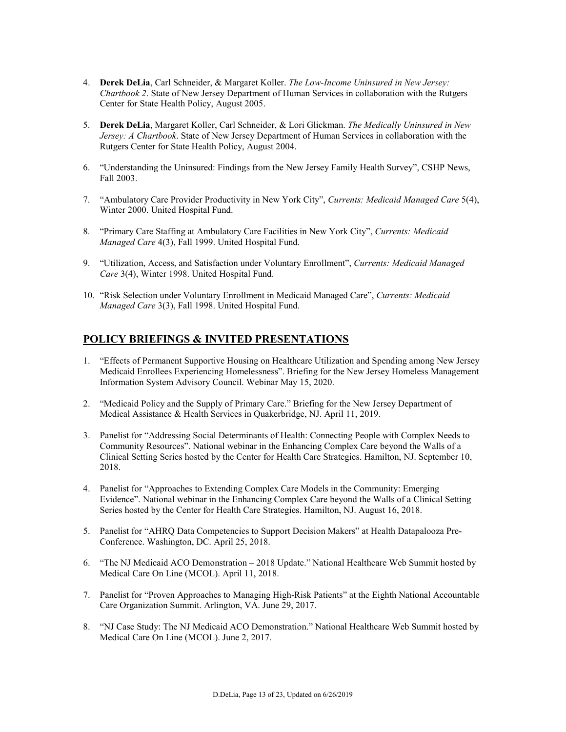- 4. **Derek DeLia**, Carl Schneider, & Margaret Koller. *The Low-Income Uninsured in New Jersey: Chartbook 2*. State of New Jersey Department of Human Services in collaboration with the Rutgers Center for State Health Policy, August 2005.
- 5. **Derek DeLia**, Margaret Koller, Carl Schneider, & Lori Glickman. *The Medically Uninsured in New Jersey: A Chartbook*. State of New Jersey Department of Human Services in collaboration with the Rutgers Center for State Health Policy, August 2004.
- 6. "Understanding the Uninsured: Findings from the New Jersey Family Health Survey", CSHP News, Fall 2003.
- 7. "Ambulatory Care Provider Productivity in New York City", *Currents: Medicaid Managed Care* 5(4), Winter 2000. United Hospital Fund.
- 8. "Primary Care Staffing at Ambulatory Care Facilities in New York City", *Currents: Medicaid Managed Care* 4(3), Fall 1999. United Hospital Fund.
- 9. "Utilization, Access, and Satisfaction under Voluntary Enrollment", *Currents: Medicaid Managed Care* 3(4), Winter 1998. United Hospital Fund.
- 10. "Risk Selection under Voluntary Enrollment in Medicaid Managed Care", *Currents: Medicaid Managed Care* 3(3), Fall 1998. United Hospital Fund.

### **POLICY BRIEFINGS & INVITED PRESENTATIONS**

- 1. "Effects of Permanent Supportive Housing on Healthcare Utilization and Spending among New Jersey Medicaid Enrollees Experiencing Homelessness". Briefing for the New Jersey Homeless Management Information System Advisory Council. Webinar May 15, 2020.
- 2. "Medicaid Policy and the Supply of Primary Care." Briefing for the New Jersey Department of Medical Assistance & Health Services in Quakerbridge, NJ. April 11, 2019.
- 3. Panelist for "Addressing Social Determinants of Health: Connecting People with Complex Needs to Community Resources". National webinar in the Enhancing Complex Care beyond the Walls of a Clinical Setting Series hosted by the Center for Health Care Strategies. Hamilton, NJ. September 10, 2018.
- 4. Panelist for "Approaches to Extending Complex Care Models in the Community: Emerging Evidence". National webinar in the Enhancing Complex Care beyond the Walls of a Clinical Setting Series hosted by the Center for Health Care Strategies. Hamilton, NJ. August 16, 2018.
- 5. Panelist for "AHRQ Data Competencies to Support Decision Makers" at Health Datapalooza Pre-Conference. Washington, DC. April 25, 2018.
- 6. "The NJ Medicaid ACO Demonstration 2018 Update." National Healthcare Web Summit hosted by Medical Care On Line (MCOL). April 11, 2018.
- 7. Panelist for "Proven Approaches to Managing High-Risk Patients" at the Eighth National Accountable Care Organization Summit. Arlington, VA. June 29, 2017.
- 8. "NJ Case Study: The NJ Medicaid ACO Demonstration." National Healthcare Web Summit hosted by Medical Care On Line (MCOL). June 2, 2017.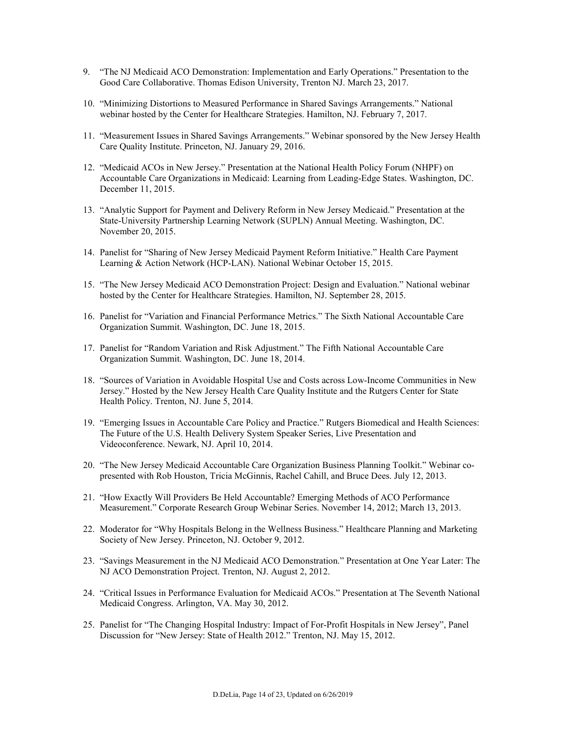- 9. "The NJ Medicaid ACO Demonstration: Implementation and Early Operations." Presentation to the Good Care Collaborative. Thomas Edison University, Trenton NJ. March 23, 2017.
- 10. "Minimizing Distortions to Measured Performance in Shared Savings Arrangements." National webinar hosted by the Center for Healthcare Strategies. Hamilton, NJ. February 7, 2017.
- 11. "Measurement Issues in Shared Savings Arrangements." Webinar sponsored by the New Jersey Health Care Quality Institute. Princeton, NJ. January 29, 2016.
- 12. "Medicaid ACOs in New Jersey." Presentation at the National Health Policy Forum (NHPF) on Accountable Care Organizations in Medicaid: Learning from Leading-Edge States. Washington, DC. December 11, 2015.
- 13. "Analytic Support for Payment and Delivery Reform in New Jersey Medicaid." Presentation at the State-University Partnership Learning Network (SUPLN) Annual Meeting. Washington, DC. November 20, 2015.
- 14. Panelist for "Sharing of New Jersey Medicaid Payment Reform Initiative." Health Care Payment Learning & Action Network (HCP-LAN). National Webinar October 15, 2015.
- 15. "The New Jersey Medicaid ACO Demonstration Project: Design and Evaluation." National webinar hosted by the Center for Healthcare Strategies. Hamilton, NJ. September 28, 2015.
- 16. Panelist for "Variation and Financial Performance Metrics." The Sixth National Accountable Care Organization Summit. Washington, DC. June 18, 2015.
- 17. Panelist for "Random Variation and Risk Adjustment." The Fifth National Accountable Care Organization Summit. Washington, DC. June 18, 2014.
- 18. "Sources of Variation in Avoidable Hospital Use and Costs across Low-Income Communities in New Jersey." Hosted by the New Jersey Health Care Quality Institute and the Rutgers Center for State Health Policy. Trenton, NJ. June 5, 2014.
- 19. "Emerging Issues in Accountable Care Policy and Practice." Rutgers Biomedical and Health Sciences: The Future of the U.S. Health Delivery System Speaker Series, Live Presentation and Videoconference. Newark, NJ. April 10, 2014.
- 20. "The New Jersey Medicaid Accountable Care Organization Business Planning Toolkit." Webinar copresented with Rob Houston, Tricia McGinnis, Rachel Cahill, and Bruce Dees. July 12, 2013.
- 21. "How Exactly Will Providers Be Held Accountable? Emerging Methods of ACO Performance Measurement." Corporate Research Group Webinar Series. November 14, 2012; March 13, 2013.
- 22. Moderator for "Why Hospitals Belong in the Wellness Business." Healthcare Planning and Marketing Society of New Jersey. Princeton, NJ. October 9, 2012.
- 23. "Savings Measurement in the NJ Medicaid ACO Demonstration." Presentation at One Year Later: The NJ ACO Demonstration Project. Trenton, NJ. August 2, 2012.
- 24. "Critical Issues in Performance Evaluation for Medicaid ACOs." Presentation at The Seventh National Medicaid Congress. Arlington, VA. May 30, 2012.
- 25. Panelist for "The Changing Hospital Industry: Impact of For-Profit Hospitals in New Jersey", Panel Discussion for "New Jersey: State of Health 2012." Trenton, NJ. May 15, 2012.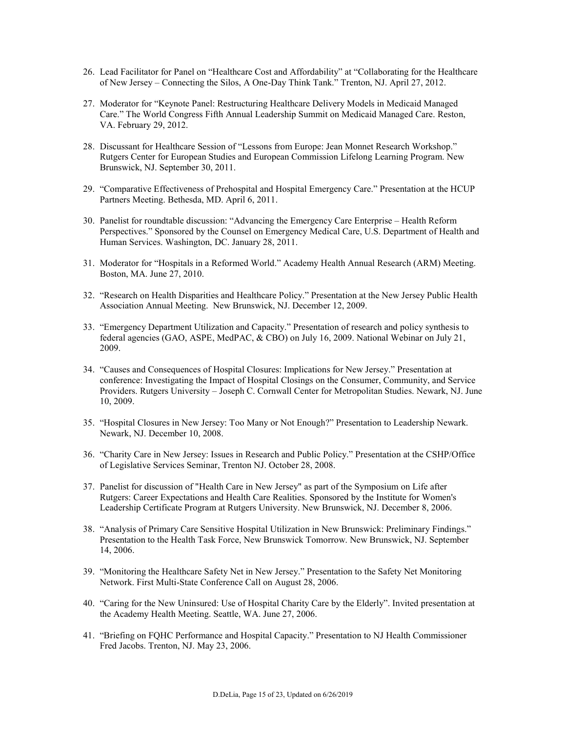- 26. Lead Facilitator for Panel on "Healthcare Cost and Affordability" at "Collaborating for the Healthcare of New Jersey – Connecting the Silos, A One-Day Think Tank." Trenton, NJ. April 27, 2012.
- 27. Moderator for "Keynote Panel: Restructuring Healthcare Delivery Models in Medicaid Managed Care." The World Congress Fifth Annual Leadership Summit on Medicaid Managed Care. Reston, VA. February 29, 2012.
- 28. Discussant for Healthcare Session of "Lessons from Europe: Jean Monnet Research Workshop." Rutgers Center for European Studies and European Commission Lifelong Learning Program. New Brunswick, NJ. September 30, 2011.
- 29. "Comparative Effectiveness of Prehospital and Hospital Emergency Care." Presentation at the HCUP Partners Meeting. Bethesda, MD. April 6, 2011.
- 30. Panelist for roundtable discussion: "Advancing the Emergency Care Enterprise Health Reform Perspectives." Sponsored by the Counsel on Emergency Medical Care, U.S. Department of Health and Human Services. Washington, DC. January 28, 2011.
- 31. Moderator for "Hospitals in a Reformed World." Academy Health Annual Research (ARM) Meeting. Boston, MA. June 27, 2010.
- 32. "Research on Health Disparities and Healthcare Policy." Presentation at the New Jersey Public Health Association Annual Meeting. New Brunswick, NJ. December 12, 2009.
- 33. "Emergency Department Utilization and Capacity." Presentation of research and policy synthesis to federal agencies (GAO, ASPE, MedPAC, & CBO) on July 16, 2009. National Webinar on July 21, 2009.
- 34. "Causes and Consequences of Hospital Closures: Implications for New Jersey." Presentation at conference: Investigating the Impact of Hospital Closings on the Consumer, Community, and Service Providers. Rutgers University – Joseph C. Cornwall Center for Metropolitan Studies. Newark, NJ. June 10, 2009.
- 35. "Hospital Closures in New Jersey: Too Many or Not Enough?" Presentation to Leadership Newark. Newark, NJ. December 10, 2008.
- 36. "Charity Care in New Jersey: Issues in Research and Public Policy." Presentation at the CSHP/Office of Legislative Services Seminar, Trenton NJ. October 28, 2008.
- 37. Panelist for discussion of "Health Care in New Jersey" as part of the Symposium on Life after Rutgers: Career Expectations and Health Care Realities. Sponsored by the Institute for Women's Leadership Certificate Program at Rutgers University. New Brunswick, NJ. December 8, 2006.
- 38. "Analysis of Primary Care Sensitive Hospital Utilization in New Brunswick: Preliminary Findings." Presentation to the Health Task Force, New Brunswick Tomorrow. New Brunswick, NJ. September 14, 2006.
- 39. "Monitoring the Healthcare Safety Net in New Jersey." Presentation to the Safety Net Monitoring Network. First Multi-State Conference Call on August 28, 2006.
- 40. "Caring for the New Uninsured: Use of Hospital Charity Care by the Elderly". Invited presentation at the Academy Health Meeting. Seattle, WA. June 27, 2006.
- 41. "Briefing on FQHC Performance and Hospital Capacity." Presentation to NJ Health Commissioner Fred Jacobs. Trenton, NJ. May 23, 2006.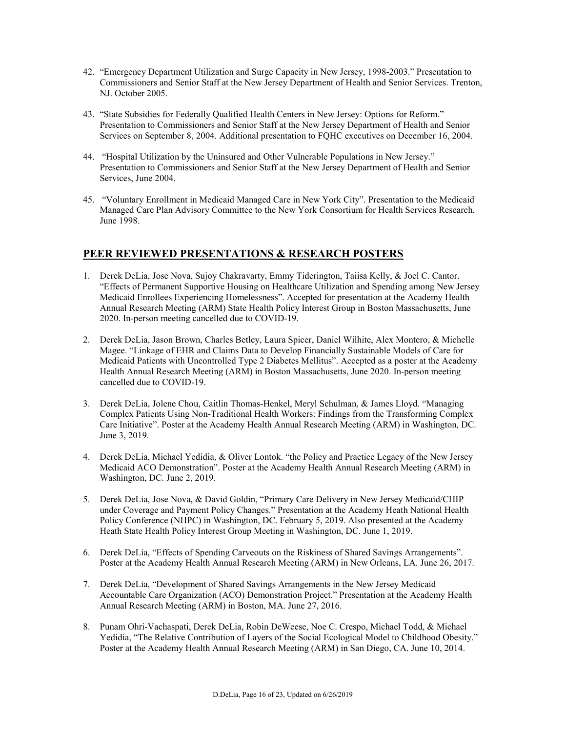- 42. "Emergency Department Utilization and Surge Capacity in New Jersey, 1998-2003." Presentation to Commissioners and Senior Staff at the New Jersey Department of Health and Senior Services. Trenton, NJ. October 2005.
- 43. "State Subsidies for Federally Qualified Health Centers in New Jersey: Options for Reform." Presentation to Commissioners and Senior Staff at the New Jersey Department of Health and Senior Services on September 8, 2004. Additional presentation to FQHC executives on December 16, 2004.
- 44. "Hospital Utilization by the Uninsured and Other Vulnerable Populations in New Jersey." Presentation to Commissioners and Senior Staff at the New Jersey Department of Health and Senior Services, June 2004.
- 45. "Voluntary Enrollment in Medicaid Managed Care in New York City". Presentation to the Medicaid Managed Care Plan Advisory Committee to the New York Consortium for Health Services Research, June 1998.

### **PEER REVIEWED PRESENTATIONS & RESEARCH POSTERS**

- 1. Derek DeLia, Jose Nova, Sujoy Chakravarty, Emmy Tiderington, Taiisa Kelly, & Joel C. Cantor. "Effects of Permanent Supportive Housing on Healthcare Utilization and Spending among New Jersey Medicaid Enrollees Experiencing Homelessness". Accepted for presentation at the Academy Health Annual Research Meeting (ARM) State Health Policy Interest Group in Boston Massachusetts, June 2020. In-person meeting cancelled due to COVID-19.
- 2. Derek DeLia, Jason Brown, Charles Betley, Laura Spicer, Daniel Wilhite, Alex Montero, & Michelle Magee. "Linkage of EHR and Claims Data to Develop Financially Sustainable Models of Care for Medicaid Patients with Uncontrolled Type 2 Diabetes Mellitus". Accepted as a poster at the Academy Health Annual Research Meeting (ARM) in Boston Massachusetts, June 2020. In-person meeting cancelled due to COVID-19.
- 3. Derek DeLia, Jolene Chou, Caitlin Thomas-Henkel, Meryl Schulman, & James Lloyd. "Managing Complex Patients Using Non-Traditional Health Workers: Findings from the Transforming Complex Care Initiative". Poster at the Academy Health Annual Research Meeting (ARM) in Washington, DC. June 3, 2019.
- 4. Derek DeLia, Michael Yedidia, & Oliver Lontok. "the Policy and Practice Legacy of the New Jersey Medicaid ACO Demonstration". Poster at the Academy Health Annual Research Meeting (ARM) in Washington, DC. June 2, 2019.
- 5. Derek DeLia, Jose Nova, & David Goldin, "Primary Care Delivery in New Jersey Medicaid/CHIP under Coverage and Payment Policy Changes." Presentation at the Academy Heath National Health Policy Conference (NHPC) in Washington, DC. February 5, 2019. Also presented at the Academy Heath State Health Policy Interest Group Meeting in Washington, DC. June 1, 2019.
- 6. Derek DeLia, "Effects of Spending Carveouts on the Riskiness of Shared Savings Arrangements". Poster at the Academy Health Annual Research Meeting (ARM) in New Orleans, LA. June 26, 2017.
- 7. Derek DeLia, "Development of Shared Savings Arrangements in the New Jersey Medicaid Accountable Care Organization (ACO) Demonstration Project." Presentation at the Academy Health Annual Research Meeting (ARM) in Boston, MA. June 27, 2016.
- 8. Punam Ohri-Vachaspati, Derek DeLia, Robin DeWeese, Noe C. Crespo, Michael Todd, & Michael Yedidia, "The Relative Contribution of Layers of the Social Ecological Model to Childhood Obesity." Poster at the Academy Health Annual Research Meeting (ARM) in San Diego, CA. June 10, 2014.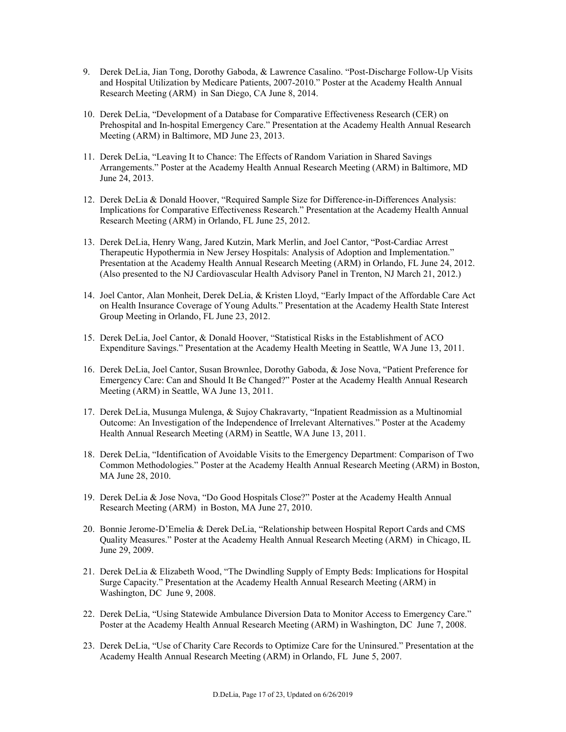- 9. Derek DeLia, Jian Tong, Dorothy Gaboda, & Lawrence Casalino. "Post-Discharge Follow-Up Visits and Hospital Utilization by Medicare Patients, 2007-2010." Poster at the Academy Health Annual Research Meeting (ARM) in San Diego, CA June 8, 2014.
- 10. Derek DeLia, "Development of a Database for Comparative Effectiveness Research (CER) on Prehospital and In-hospital Emergency Care." Presentation at the Academy Health Annual Research Meeting (ARM) in Baltimore, MD June 23, 2013.
- 11. Derek DeLia, "Leaving It to Chance: The Effects of Random Variation in Shared Savings Arrangements." Poster at the Academy Health Annual Research Meeting (ARM) in Baltimore, MD June 24, 2013.
- 12. Derek DeLia & Donald Hoover, "Required Sample Size for Difference-in-Differences Analysis: Implications for Comparative Effectiveness Research." Presentation at the Academy Health Annual Research Meeting (ARM) in Orlando, FL June 25, 2012.
- 13. Derek DeLia, Henry Wang, Jared Kutzin, Mark Merlin, and Joel Cantor, "Post-Cardiac Arrest Therapeutic Hypothermia in New Jersey Hospitals: Analysis of Adoption and Implementation." Presentation at the Academy Health Annual Research Meeting (ARM) in Orlando, FL June 24, 2012. (Also presented to the NJ Cardiovascular Health Advisory Panel in Trenton, NJ March 21, 2012.)
- 14. Joel Cantor, Alan Monheit, Derek DeLia, & Kristen Lloyd, "Early Impact of the Affordable Care Act on Health Insurance Coverage of Young Adults." Presentation at the Academy Health State Interest Group Meeting in Orlando, FL June 23, 2012.
- 15. Derek DeLia, Joel Cantor, & Donald Hoover, "Statistical Risks in the Establishment of ACO Expenditure Savings." Presentation at the Academy Health Meeting in Seattle, WA June 13, 2011.
- 16. Derek DeLia, Joel Cantor, Susan Brownlee, Dorothy Gaboda, & Jose Nova, "Patient Preference for Emergency Care: Can and Should It Be Changed?" Poster at the Academy Health Annual Research Meeting (ARM) in Seattle, WA June 13, 2011.
- 17. Derek DeLia, Musunga Mulenga, & Sujoy Chakravarty, "Inpatient Readmission as a Multinomial Outcome: An Investigation of the Independence of Irrelevant Alternatives." Poster at the Academy Health Annual Research Meeting (ARM) in Seattle, WA June 13, 2011.
- 18. Derek DeLia, "Identification of Avoidable Visits to the Emergency Department: Comparison of Two Common Methodologies." Poster at the Academy Health Annual Research Meeting (ARM) in Boston, MA June 28, 2010.
- 19. Derek DeLia & Jose Nova, "Do Good Hospitals Close?" Poster at the Academy Health Annual Research Meeting (ARM) in Boston, MA June 27, 2010.
- 20. Bonnie Jerome-D'Emelia & Derek DeLia, "Relationship between Hospital Report Cards and CMS Quality Measures." Poster at the Academy Health Annual Research Meeting (ARM) in Chicago, IL June 29, 2009.
- 21. Derek DeLia & Elizabeth Wood, "The Dwindling Supply of Empty Beds: Implications for Hospital Surge Capacity." Presentation at the Academy Health Annual Research Meeting (ARM) in Washington, DC June 9, 2008.
- 22. Derek DeLia, "Using Statewide Ambulance Diversion Data to Monitor Access to Emergency Care." Poster at the Academy Health Annual Research Meeting (ARM) in Washington, DC June 7, 2008.
- 23. Derek DeLia, "Use of Charity Care Records to Optimize Care for the Uninsured." Presentation at the Academy Health Annual Research Meeting (ARM) in Orlando, FL June 5, 2007.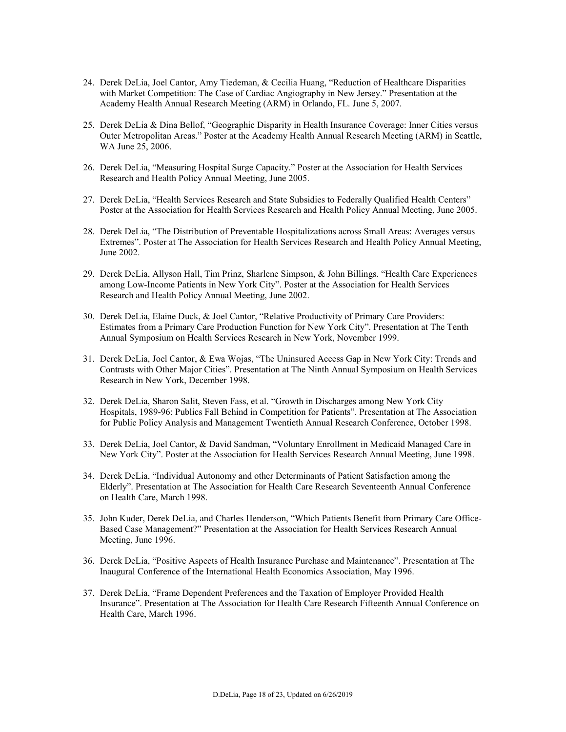- 24. Derek DeLia, Joel Cantor, Amy Tiedeman, & Cecilia Huang, "Reduction of Healthcare Disparities with Market Competition: The Case of Cardiac Angiography in New Jersey." Presentation at the Academy Health Annual Research Meeting (ARM) in Orlando, FL. June 5, 2007.
- 25. Derek DeLia & Dina Bellof, "Geographic Disparity in Health Insurance Coverage: Inner Cities versus Outer Metropolitan Areas." Poster at the Academy Health Annual Research Meeting (ARM) in Seattle, WA June 25, 2006.
- 26. Derek DeLia, "Measuring Hospital Surge Capacity." Poster at the Association for Health Services Research and Health Policy Annual Meeting, June 2005.
- 27. Derek DeLia, "Health Services Research and State Subsidies to Federally Qualified Health Centers" Poster at the Association for Health Services Research and Health Policy Annual Meeting, June 2005.
- 28. Derek DeLia, "The Distribution of Preventable Hospitalizations across Small Areas: Averages versus Extremes". Poster at The Association for Health Services Research and Health Policy Annual Meeting, June 2002.
- 29. Derek DeLia, Allyson Hall, Tim Prinz, Sharlene Simpson, & John Billings. "Health Care Experiences among Low-Income Patients in New York City". Poster at the Association for Health Services Research and Health Policy Annual Meeting, June 2002.
- 30. Derek DeLia, Elaine Duck, & Joel Cantor, "Relative Productivity of Primary Care Providers: Estimates from a Primary Care Production Function for New York City". Presentation at The Tenth Annual Symposium on Health Services Research in New York, November 1999.
- 31. Derek DeLia, Joel Cantor, & Ewa Wojas, "The Uninsured Access Gap in New York City: Trends and Contrasts with Other Major Cities". Presentation at The Ninth Annual Symposium on Health Services Research in New York, December 1998.
- 32. Derek DeLia, Sharon Salit, Steven Fass, et al. "Growth in Discharges among New York City Hospitals, 1989-96: Publics Fall Behind in Competition for Patients". Presentation at The Association for Public Policy Analysis and Management Twentieth Annual Research Conference, October 1998.
- 33. Derek DeLia, Joel Cantor, & David Sandman, "Voluntary Enrollment in Medicaid Managed Care in New York City". Poster at the Association for Health Services Research Annual Meeting, June 1998.
- 34. Derek DeLia, "Individual Autonomy and other Determinants of Patient Satisfaction among the Elderly". Presentation at The Association for Health Care Research Seventeenth Annual Conference on Health Care, March 1998.
- 35. John Kuder, Derek DeLia, and Charles Henderson, "Which Patients Benefit from Primary Care Office-Based Case Management?" Presentation at the Association for Health Services Research Annual Meeting, June 1996.
- 36. Derek DeLia, "Positive Aspects of Health Insurance Purchase and Maintenance". Presentation at The Inaugural Conference of the International Health Economics Association, May 1996.
- 37. Derek DeLia, "Frame Dependent Preferences and the Taxation of Employer Provided Health Insurance". Presentation at The Association for Health Care Research Fifteenth Annual Conference on Health Care, March 1996.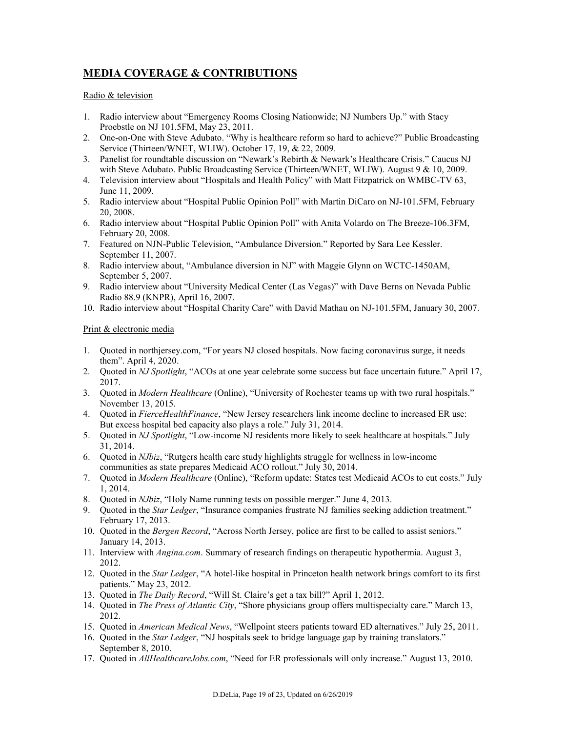## **MEDIA COVERAGE & CONTRIBUTIONS**

#### Radio & television

- 1. Radio interview about "Emergency Rooms Closing Nationwide; NJ Numbers Up." with Stacy Proebstle on NJ 101.5FM, May 23, 2011.
- 2. One-on-One with Steve Adubato. "Why is healthcare reform so hard to achieve?" Public Broadcasting Service (Thirteen/WNET, WLIW). October 17, 19, & 22, 2009.
- 3. Panelist for roundtable discussion on "Newark's Rebirth & Newark's Healthcare Crisis." Caucus NJ with Steve Adubato. Public Broadcasting Service (Thirteen/WNET, WLIW). August 9 & 10, 2009.
- 4. Television interview about "Hospitals and Health Policy" with Matt Fitzpatrick on WMBC-TV 63, June 11, 2009.
- 5. Radio interview about "Hospital Public Opinion Poll" with Martin DiCaro on NJ-101.5FM, February 20, 2008.
- 6. Radio interview about "Hospital Public Opinion Poll" with Anita Volardo on The Breeze-106.3FM, February 20, 2008.
- 7. Featured on NJN-Public Television, "Ambulance Diversion." Reported by Sara Lee Kessler. September 11, 2007.
- 8. Radio interview about, "Ambulance diversion in NJ" with Maggie Glynn on WCTC-1450AM, September 5, 2007.
- 9. Radio interview about "University Medical Center (Las Vegas)" with Dave Berns on Nevada Public Radio 88.9 (KNPR), April 16, 2007.
- 10. Radio interview about "Hospital Charity Care" with David Mathau on NJ-101.5FM, January 30, 2007.

Print & electronic media

- 1. Quoted in northjersey.com, "For years NJ closed hospitals. Now facing coronavirus surge, it needs them". April 4, 2020.
- 2. Quoted in *NJ Spotlight*, "ACOs at one year celebrate some success but face uncertain future." April 17, 2017.
- 3. Quoted in *Modern Healthcare* (Online), "University of Rochester teams up with two rural hospitals." November 13, 2015.
- 4. Quoted in *FierceHealthFinance*, "New Jersey researchers link income decline to increased ER use: But excess hospital bed capacity also plays a role." July 31, 2014.
- 5. Quoted in *NJ Spotlight*, "Low-income NJ residents more likely to seek healthcare at hospitals." July 31, 2014.
- 6. Quoted in *NJbiz*, "Rutgers health care study highlights struggle for wellness in low-income communities as state prepares Medicaid ACO rollout." July 30, 2014.
- 7. Quoted in *Modern Healthcare* (Online), "Reform update: States test Medicaid ACOs to cut costs." July 1, 2014.
- 8. Quoted in *NJbiz*, "Holy Name running tests on possible merger." June 4, 2013.
- 9. Quoted in the *Star Ledger*, "Insurance companies frustrate NJ families seeking addiction treatment." February 17, 2013.
- 10. Quoted in the *Bergen Record*, "Across North Jersey, police are first to be called to assist seniors." January 14, 2013.
- 11. Interview with *Angina.com*. Summary of research findings on therapeutic hypothermia. August 3, 2012.
- 12. Quoted in the *Star Ledger*, "A hotel-like hospital in Princeton health network brings comfort to its first patients." May 23, 2012.
- 13. Quoted in *The Daily Record*, "Will St. Claire's get a tax bill?" April 1, 2012.
- 14. Quoted in *The Press of Atlantic City*, "Shore physicians group offers multispecialty care." March 13, 2012.
- 15. Quoted in *American Medical News*, "Wellpoint steers patients toward ED alternatives." July 25, 2011.
- 16. Quoted in the *Star Ledger*, "NJ hospitals seek to bridge language gap by training translators." September 8, 2010.
- 17. Quoted in *AllHealthcareJobs.com*, "Need for ER professionals will only increase." August 13, 2010.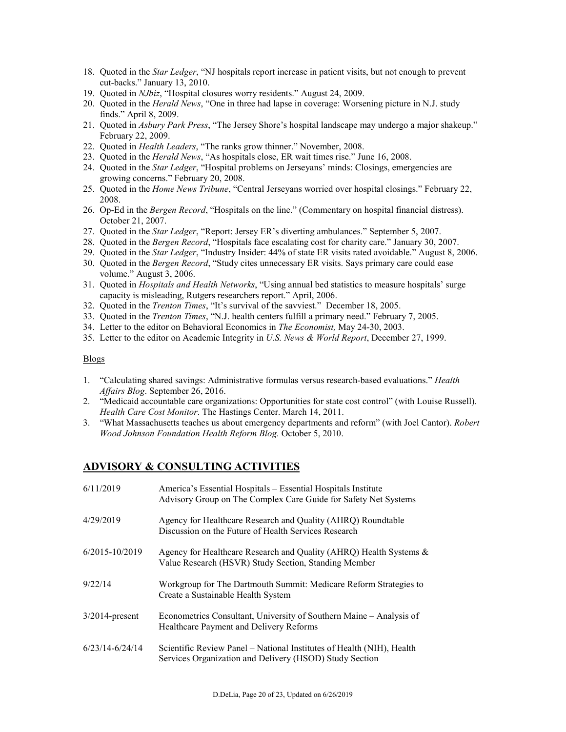- 18. Quoted in the *Star Ledger*, "NJ hospitals report increase in patient visits, but not enough to prevent cut-backs." January 13, 2010.
- 19. Quoted in *NJbiz*, "Hospital closures worry residents." August 24, 2009.
- 20. Quoted in the *Herald News*, "One in three had lapse in coverage: Worsening picture in N.J. study finds." April 8, 2009.
- 21. Quoted in *Asbury Park Press*, "The Jersey Shore's hospital landscape may undergo a major shakeup." February 22, 2009.
- 22. Quoted in *Health Leaders*, "The ranks grow thinner." November, 2008.
- 23. Quoted in the *Herald News*, "As hospitals close, ER wait times rise." June 16, 2008.
- 24. Quoted in the *Star Ledger*, "Hospital problems on Jerseyans' minds: Closings, emergencies are growing concerns." February 20, 2008.
- 25. Quoted in the *Home News Tribune*, "Central Jerseyans worried over hospital closings." February 22, 2008.
- 26. Op-Ed in the *Bergen Record*, "Hospitals on the line." (Commentary on hospital financial distress). October 21, 2007.
- 27. Quoted in the *Star Ledger*, "Report: Jersey ER's diverting ambulances." September 5, 2007.
- 28. Quoted in the *Bergen Record*, "Hospitals face escalating cost for charity care." January 30, 2007.
- 29. Quoted in the *Star Ledger*, "Industry Insider: 44% of state ER visits rated avoidable." August 8, 2006.
- 30. Quoted in the *Bergen Record*, "Study cites unnecessary ER visits. Says primary care could ease volume." August 3, 2006.
- 31. Quoted in *Hospitals and Health Networks*, "Using annual bed statistics to measure hospitals' surge capacity is misleading, Rutgers researchers report." April, 2006.
- 32. Quoted in the *Trenton Times*, "It's survival of the savviest." December 18, 2005.
- 33. Quoted in the *Trenton Times*, "N.J. health centers fulfill a primary need." February 7, 2005.
- 34. Letter to the editor on Behavioral Economics in *The Economist,* May 24-30, 2003.
- 35. Letter to the editor on Academic Integrity in *U.S. News & World Report*, December 27, 1999.

#### Blogs

- 1. "Calculating shared savings: Administrative formulas versus research-based evaluations." *Health Affairs Blog*. September 26, 2016.
- 2. "Medicaid accountable care organizations: Opportunities for state cost control" (with Louise Russell). *Health Care Cost Monitor*. The Hastings Center. March 14, 2011.
- 3. "What Massachusetts teaches us about emergency departments and reform" (with Joel Cantor). *Robert Wood Johnson Foundation Health Reform Blog.* October 5, 2010.

### **ADVISORY & CONSULTING ACTIVITIES**

| 6/11/2019           | America's Essential Hospitals – Essential Hospitals Institute<br>Advisory Group on The Complex Care Guide for Safety Net Systems |
|---------------------|----------------------------------------------------------------------------------------------------------------------------------|
| 4/29/2019           | Agency for Healthcare Research and Quality (AHRQ) Roundtable<br>Discussion on the Future of Health Services Research             |
| $6/2015 - 10/2019$  | Agency for Healthcare Research and Quality (AHRQ) Health Systems &<br>Value Research (HSVR) Study Section, Standing Member       |
| 9/22/14             | Workgroup for The Dartmouth Summit: Medicare Reform Strategies to<br>Create a Sustainable Health System                          |
| $3/2014$ -present   | Econometrics Consultant, University of Southern Maine – Analysis of<br>Healthcare Payment and Delivery Reforms                   |
| $6/23/14 - 6/24/14$ | Scientific Review Panel - National Institutes of Health (NIH), Health<br>Services Organization and Delivery (HSOD) Study Section |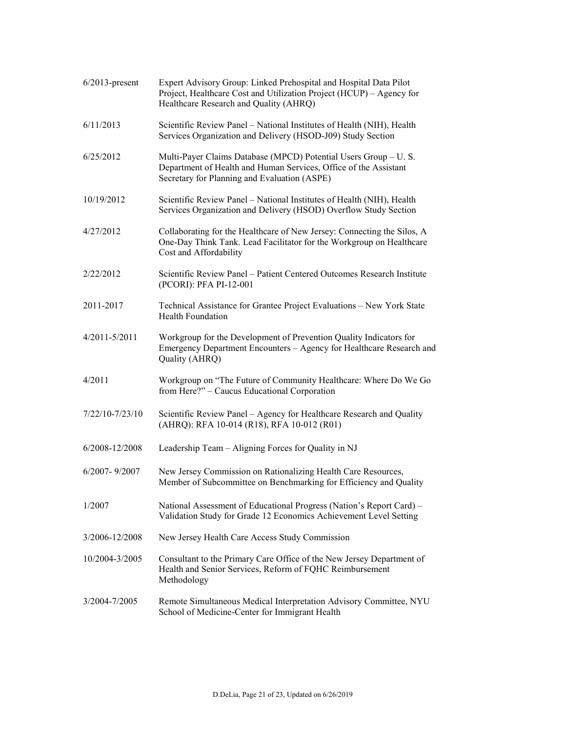| $6/2013$ -present | Expert Advisory Group: Linked Prehospital and Hospital Data Pilot<br>Project, Healthcare Cost and Utilization Project (HCUP) – Agency for<br>Healthcare Research and Quality (AHRQ) |
|-------------------|-------------------------------------------------------------------------------------------------------------------------------------------------------------------------------------|
| 6/11/2013         | Scientific Review Panel - National Institutes of Health (NIH), Health<br>Services Organization and Delivery (HSOD-J09) Study Section                                                |
| 6/25/2012         | Multi-Payer Claims Database (MPCD) Potential Users Group - U.S.<br>Department of Health and Human Services, Office of the Assistant<br>Secretary for Planning and Evaluation (ASPE) |
| 10/19/2012        | Scientific Review Panel - National Institutes of Health (NIH), Health<br>Services Organization and Delivery (HSOD) Overflow Study Section                                           |
| 4/27/2012         | Collaborating for the Healthcare of New Jersey: Connecting the Silos, A<br>One-Day Think Tank. Lead Facilitator for the Workgroup on Healthcare<br>Cost and Affordability           |
| 2/22/2012         | Scientific Review Panel - Patient Centered Outcomes Research Institute<br>(PCORI): PFA PI-12-001                                                                                    |
| 2011-2017         | Technical Assistance for Grantee Project Evaluations - New York State<br><b>Health Foundation</b>                                                                                   |
| $4/2011 - 5/2011$ | Workgroup for the Development of Prevention Quality Indicators for<br>Emergency Department Encounters - Agency for Healthcare Research and<br>Quality (AHRQ)                        |
| 4/2011            | Workgroup on "The Future of Community Healthcare: Where Do We Go<br>from Here?" - Caucus Educational Corporation                                                                    |
| 7/22/10-7/23/10   | Scientific Review Panel - Agency for Healthcare Research and Quality<br>(AHRQ): RFA 10-014 (R18), RFA 10-012 (R01)                                                                  |
| 6/2008-12/2008    | Leadership Team - Aligning Forces for Quality in NJ                                                                                                                                 |
| 6/2007-9/2007     | New Jersey Commission on Rationalizing Health Care Resources,<br>Member of Subcommittee on Benchmarking for Efficiency and Quality                                                  |
| 1/2007            | National Assessment of Educational Progress (Nation's Report Card) –<br>Validation Study for Grade 12 Economics Achievement Level Setting                                           |
| 3/2006-12/2008    | New Jersey Health Care Access Study Commission                                                                                                                                      |
| 10/2004-3/2005    | Consultant to the Primary Care Office of the New Jersey Department of<br>Health and Senior Services, Reform of FQHC Reimbursement<br>Methodology                                    |
| 3/2004-7/2005     | Remote Simultaneous Medical Interpretation Advisory Committee, NYU<br>School of Medicine-Center for Immigrant Health                                                                |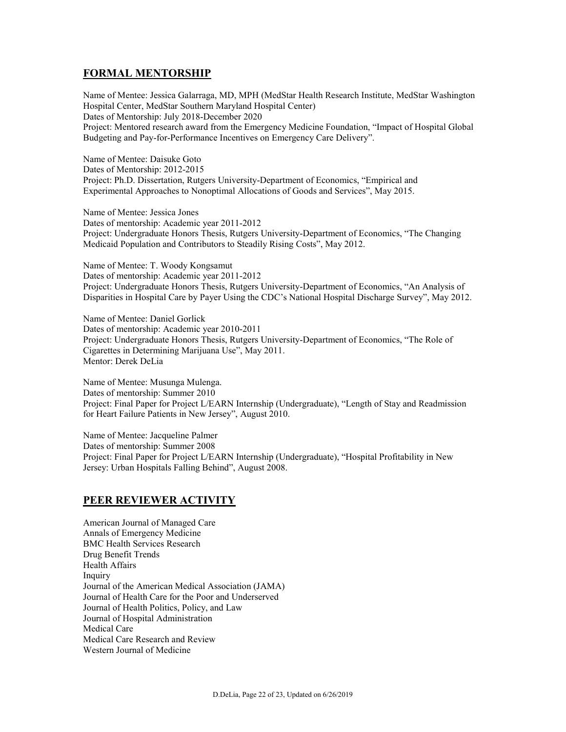## **FORMAL MENTORSHIP**

Name of Mentee: Jessica Galarraga, MD, MPH (MedStar Health Research Institute, MedStar Washington Hospital Center, MedStar Southern Maryland Hospital Center) Dates of Mentorship: July 2018-December 2020 Project: Mentored research award from the Emergency Medicine Foundation, "Impact of Hospital Global Budgeting and Pay-for-Performance Incentives on Emergency Care Delivery".

Name of Mentee: Daisuke Goto Dates of Mentorship: 2012-2015 Project: Ph.D. Dissertation, Rutgers University-Department of Economics, "Empirical and Experimental Approaches to Nonoptimal Allocations of Goods and Services", May 2015.

Name of Mentee: Jessica Jones Dates of mentorship: Academic year 2011-2012 Project: Undergraduate Honors Thesis, Rutgers University-Department of Economics, "The Changing Medicaid Population and Contributors to Steadily Rising Costs", May 2012.

Name of Mentee: T. Woody Kongsamut Dates of mentorship: Academic year 2011-2012 Project: Undergraduate Honors Thesis, Rutgers University-Department of Economics, "An Analysis of Disparities in Hospital Care by Payer Using the CDC's National Hospital Discharge Survey", May 2012.

Name of Mentee: Daniel Gorlick Dates of mentorship: Academic year 2010-2011 Project: Undergraduate Honors Thesis, Rutgers University-Department of Economics, "The Role of Cigarettes in Determining Marijuana Use", May 2011. Mentor: Derek DeLia

Name of Mentee: Musunga Mulenga. Dates of mentorship: Summer 2010 Project: Final Paper for Project L/EARN Internship (Undergraduate), "Length of Stay and Readmission for Heart Failure Patients in New Jersey", August 2010.

Name of Mentee: Jacqueline Palmer Dates of mentorship: Summer 2008 Project: Final Paper for Project L/EARN Internship (Undergraduate), "Hospital Profitability in New Jersey: Urban Hospitals Falling Behind", August 2008.

### **PEER REVIEWER ACTIVITY**

American Journal of Managed Care Annals of Emergency Medicine BMC Health Services Research Drug Benefit Trends Health Affairs Inquiry Journal of the American Medical Association (JAMA) Journal of Health Care for the Poor and Underserved Journal of Health Politics, Policy, and Law Journal of Hospital Administration Medical Care Medical Care Research and Review Western Journal of Medicine